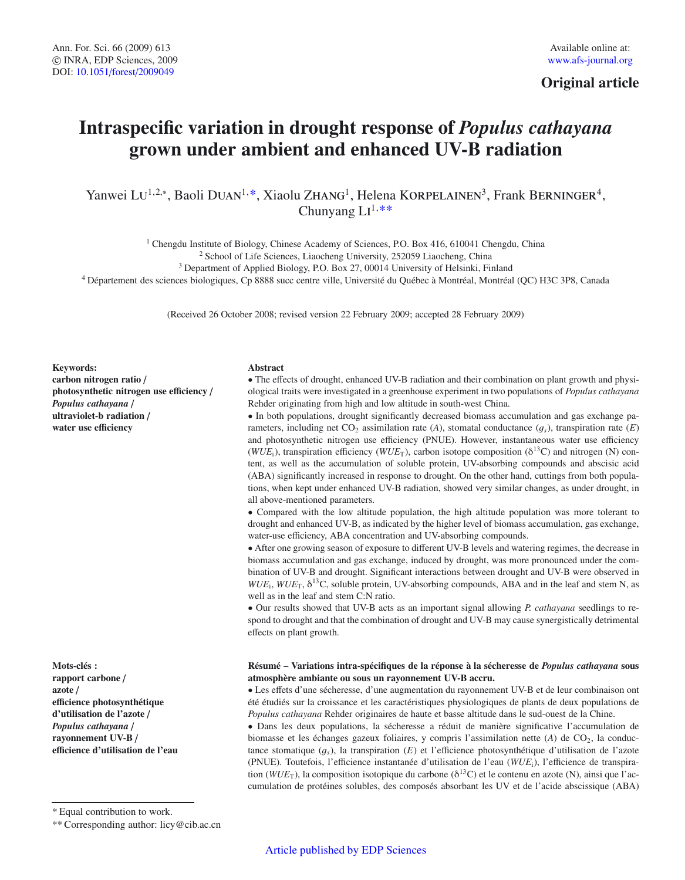**Original article**

# **Intraspecific variation in drought response of** *Populus cathayana* **grown under ambient and enhanced UV-B radiation**

Yanwei Lu<sup>1,2,∗</sup>, Baoli DUAN<sup>1,∗</sup>, Xiaolu ZHANG<sup>1</sup>, Helena KORPELAINEN<sup>3</sup>, Frank BERNINGER<sup>4</sup>, Chunyang  $LI^{1, **}$ 

<sup>1</sup> Chengdu Institute of Biology, Chinese Academy of Sciences, P.O. Box 416, 610041 Chengdu, China

<sup>2</sup> School of Life Sciences, Liaocheng University, 252059 Liaocheng, China

<sup>3</sup> Department of Applied Biology, P.O. Box 27, 00014 University of Helsinki, Finland

<sup>4</sup> Département des sciences biologiques, Cp 8888 succ centre ville, Université du Québec à Montréal, Montréal (QC) H3C 3P8, Canada

(Received 26 October 2008; revised version 22 February 2009; accepted 28 February 2009)

**Keywords: carbon nitrogen ratio** / **photosynthetic nitrogen use e**ffi**ciency** / *Populus cathayana* / **ultraviolet-b radiation** / **water use e**ffi**ciency**

# **Mots-clés : rapport carbone** / **azote** / **e**ffi**cience photosynthétique d'utilisation de l'azote** / *Populus cathayana* / **rayonnement UV-B** / **e**ffi**cience d'utilisation de l'eau**

\* Equal contribution to work.

#### **Abstract**

• The effects of drought, enhanced UV-B radiation and their combination on plant growth and physiological traits were investigated in a greenhouse experiment in two populations of *Populus cathayana* Rehder originating from high and low altitude in south-west China.

• In both populations, drought significantly decreased biomass accumulation and gas exchange parameters, including net CO<sub>2</sub> assimilation rate (*A*), stomatal conductance  $(g_s)$ , transpiration rate (*E*) and photosynthetic nitrogen use efficiency (PNUE). However, instantaneous water use efficiency  $(WUE<sub>i</sub>)$ , transpiration efficiency  $(WUE<sub>T</sub>)$ , carbon isotope composition ( $\delta<sup>13</sup>C$ ) and nitrogen (N) content, as well as the accumulation of soluble protein, UV-absorbing compounds and abscisic acid (ABA) significantly increased in response to drought. On the other hand, cuttings from both populations, when kept under enhanced UV-B radiation, showed very similar changes, as under drought, in all above-mentioned parameters.

• Compared with the low altitude population, the high altitude population was more tolerant to drought and enhanced UV-B, as indicated by the higher level of biomass accumulation, gas exchange, water-use efficiency, ABA concentration and UV-absorbing compounds.

• After one growing season of exposure to different UV-B levels and watering regimes, the decrease in biomass accumulation and gas exchange, induced by drought, was more pronounced under the combination of UV-B and drought. Significant interactions between drought and UV-B were observed in  $WUE$ <sub>i</sub>,  $WUE$ <sub>r</sub>,  $\delta^{13}$ C, soluble protein, UV-absorbing compounds, ABA and in the leaf and stem N, as well as in the leaf and stem C:N ratio.

• Our results showed that UV-B acts as an important signal allowing *P. cathayana* seedlings to respond to drought and that the combination of drought and UV-B may cause synergistically detrimental effects on plant growth.

#### **Résumé – Variations intra-spécifiques de la réponse à la sécheresse de** *Populus cathayana* **sous atmosphère ambiante ou sous un rayonnement UV-B accru.**

• Les effets d'une sécheresse, d'une augmentation du rayonnement UV-B et de leur combinaison ont été étudiés sur la croissance et les caractéristiques physiologiques de plants de deux populations de *Populus cathayana* Rehder originaires de haute et basse altitude dans le sud-ouest de la Chine.

• Dans les deux populations, la sécheresse a réduit de manière significative l'accumulation de biomasse et les échanges gazeux foliaires, y compris l'assimilation nette (*A*) de CO<sub>2</sub>, la conductance stomatique (g*<sup>s</sup>*), la transpiration (*E*) et l'efficience photosynthétique d'utilisation de l'azote (PNUE). Toutefois, l'efficience instantanée d'utilisation de l'eau (*WUE*i), l'efficience de transpiration ( $WUE<sub>T</sub>$ ), la composition isotopique du carbone ( $\delta^{13}C$ ) et le contenu en azote (N), ainsi que l'accumulation de protéines solubles, des composés absorbant les UV et de l'acide abscissique (ABA)

<sup>\*\*</sup> Corresponding author: licy@cib.ac.cn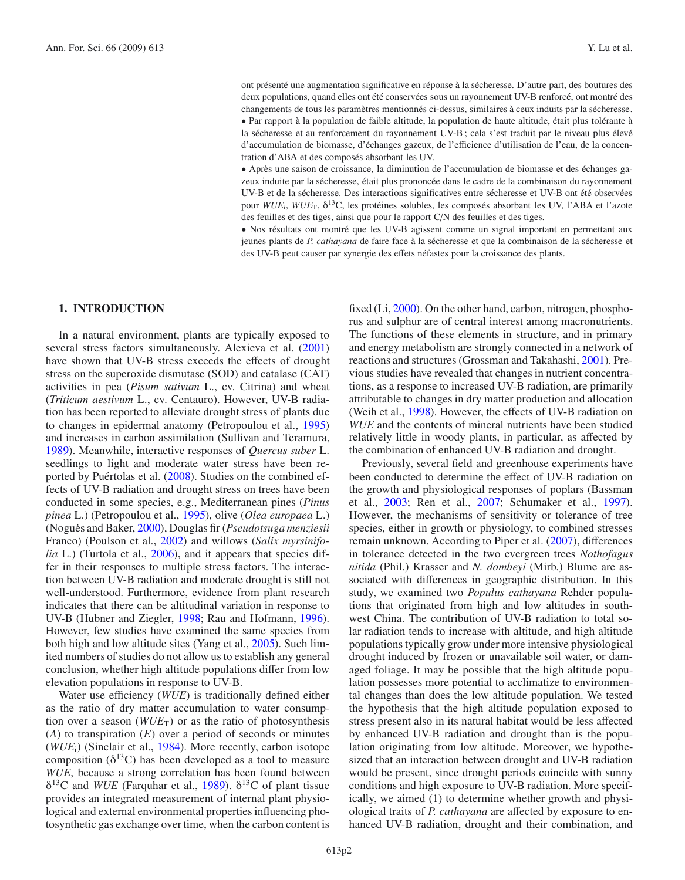ont présenté une augmentation significative en réponse à la sécheresse. D'autre part, des boutures des deux populations, quand elles ont été conservées sous un rayonnement UV-B renforcé, ont montré des changements de tous les paramètres mentionnés ci-dessus, similaires à ceux induits par la sécheresse. • Par rapport à la population de faible altitude, la population de haute altitude, était plus tolérante à la sécheresse et au renforcement du rayonnement UV-B ; cela s'est traduit par le niveau plus élevé d'accumulation de biomasse, d'échanges gazeux, de l'efficience d'utilisation de l'eau, de la concentration d'ABA et des composés absorbant les UV.

• Après une saison de croissance, la diminution de l'accumulation de biomasse et des échanges gazeux induite par la sécheresse, était plus prononcée dans le cadre de la combinaison du rayonnement UV-B et de la sécheresse. Des interactions significatives entre sécheresse et UV-B ont été observées pour *WUE*<sub>i</sub>, *WUE*<sub>T</sub>,  $\delta^{13}$ C, les protéines solubles, les composés absorbant les UV, l'ABA et l'azote des feuilles et des tiges, ainsi que pour le rapport C/N des feuilles et des tiges.

• Nos résultats ont montré que les UV-B agissent comme un signal important en permettant aux jeunes plants de *P. cathayana* de faire face à la sécheresse et que la combinaison de la sécheresse et des UV-B peut causer par synergie des effets néfastes pour la croissance des plants.

#### **1. INTRODUCTION**

In a natural environment, plants are typically exposed to several stress factors simultaneously. Alexieva et al. [\(2001](#page-10-0)) have shown that UV-B stress exceeds the effects of drought stress on the superoxide dismutase (SOD) and catalase (CAT) activities in pea (*Pisum sativum* L., cv. Citrina) and wheat (*Triticum aestivum* L., cv. Centauro). However, UV-B radiation has been reported to alleviate drought stress of plants due to changes in epidermal anatomy (Petropoulou et al., [1995](#page-11-0)) and increases in carbon assimilation (Sullivan and Teramura, [1989\)](#page-11-1). Meanwhile, interactive responses of *Quercus suber* L. seedlings to light and moderate water stress have been reported by Puértolas et al. [\(2008\)](#page-11-2). Studies on the combined effects of UV-B radiation and drought stress on trees have been conducted in some species, e.g., Mediterranean pines (*Pinus pinea* L.) (Petropoulou et al., [1995\)](#page-11-0), olive (*Olea europaea* L.) (Noguės and Baker, [2000\)](#page-11-3), Douglas fir (*Pseudotsuga menziesii* Franco) (Poulson et al., [2002\)](#page-11-4) and willows (*Salix myrsinifolia* L.) (Turtola et al., [2006](#page-11-5)), and it appears that species differ in their responses to multiple stress factors. The interaction between UV-B radiation and moderate drought is still not well-understood. Furthermore, evidence from plant research indicates that there can be altitudinal variation in response to UV-B (Hubner and Ziegler, [1998;](#page-10-1) Rau and Hofmann, [1996\)](#page-11-6). However, few studies have examined the same species from both high and low altitude sites (Yang et al., [2005\)](#page-11-7). Such limited numbers of studies do not allow us to establish any general conclusion, whether high altitude populations differ from low elevation populations in response to UV-B.

Water use efficiency (*WUE*) is traditionally defined either as the ratio of dry matter accumulation to water consumption over a season ( $WUE_T$ ) or as the ratio of photosynthesis (*A*) to transpiration (*E*) over a period of seconds or minutes (*WUE*i) (Sinclair et al., [1984\)](#page-11-8). More recently, carbon isotope composition ( $\delta^{13}$ C) has been developed as a tool to measure *WUE*, because a strong correlation has been found between  $\delta^{13}$ C and *WUE* (Farquhar et al., [1989\)](#page-10-2).  $\delta^{13}$ C of plant tissue provides an integrated measurement of internal plant physiological and external environmental properties influencing photosynthetic gas exchange over time, when the carbon content is

fixed (Li, [2000\)](#page-11-9). On the other hand, carbon, nitrogen, phosphorus and sulphur are of central interest among macronutrients. The functions of these elements in structure, and in primary and energy metabolism are strongly connected in a network of reactions and structures (Grossman and Takahashi, [2001\)](#page-10-3). Previous studies have revealed that changes in nutrient concentrations, as a response to increased UV-B radiation, are primarily attributable to changes in dry matter production and allocation (Weih et al., [1998](#page-11-10)). However, the effects of UV-B radiation on *WUE* and the contents of mineral nutrients have been studied relatively little in woody plants, in particular, as affected by the combination of enhanced UV-B radiation and drought.

Previously, several field and greenhouse experiments have been conducted to determine the effect of UV-B radiation on the growth and physiological responses of poplars (Bassman et al., [2003;](#page-10-4) Ren et al., [2007;](#page-11-11) Schumaker et al., [1997](#page-11-12)). However, the mechanisms of sensitivity or tolerance of tree species, either in growth or physiology, to combined stresses remain unknown. According to Piper et al. [\(2007](#page-11-13)), differences in tolerance detected in the two evergreen trees *Nothofagus nitida* (Phil.) Krasser and *N. dombeyi* (Mirb.) Blume are associated with differences in geographic distribution. In this study, we examined two *Populus cathayana* Rehder populations that originated from high and low altitudes in southwest China. The contribution of UV-B radiation to total solar radiation tends to increase with altitude, and high altitude populations typically grow under more intensive physiological drought induced by frozen or unavailable soil water, or damaged foliage. It may be possible that the high altitude population possesses more potential to acclimatize to environmental changes than does the low altitude population. We tested the hypothesis that the high altitude population exposed to stress present also in its natural habitat would be less affected by enhanced UV-B radiation and drought than is the population originating from low altitude. Moreover, we hypothesized that an interaction between drought and UV-B radiation would be present, since drought periods coincide with sunny conditions and high exposure to UV-B radiation. More specifically, we aimed (1) to determine whether growth and physiological traits of *P. cathayana* are affected by exposure to enhanced UV-B radiation, drought and their combination, and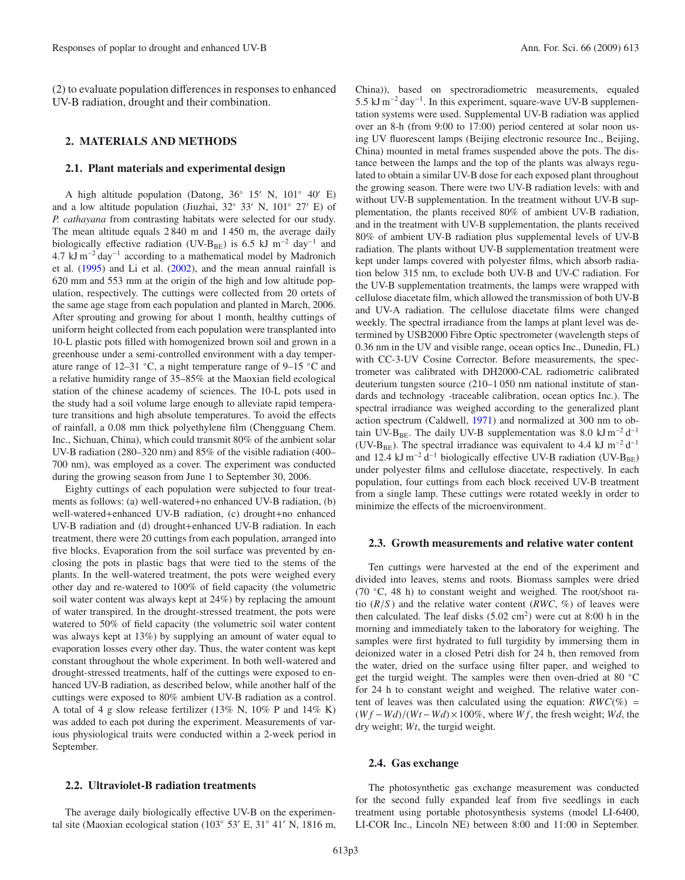(2) to evaluate population differences in responses to enhanced UV-B radiation, drought and their combination.

#### **2. MATERIALS AND METHODS**

#### **2.1. Plant materials and experimental design**

A high altitude population (Datong, 36◦ 15 N, 101◦ 40 E) and a low altitude population (Jiuzhai,  $32° 33'$  N,  $101° 27'$  E) of *P. cathayana* from contrasting habitats were selected for our study. The mean altitude equals 2 840 m and 1 450 m, the average daily biologically effective radiation (UV-B<sub>BE</sub>) is 6.5 kJ m<sup>-2</sup> day<sup>-1</sup> and 4.7 kJ m−<sup>2</sup> day−<sup>1</sup> according to a mathematical model by Madronich et al. [\(1995](#page-11-14)) and Li et al. [\(2002](#page-11-15)), and the mean annual rainfall is 620 mm and 553 mm at the origin of the high and low altitude population, respectively. The cuttings were collected from 20 ortets of the same age stage from each population and planted in March, 2006. After sprouting and growing for about 1 month, healthy cuttings of uniform height collected from each population were transplanted into 10-L plastic pots filled with homogenized brown soil and grown in a greenhouse under a semi-controlled environment with a day temperature range of 12–31  $°C$ , a night temperature range of 9–15  $°C$  and a relative humidity range of 35–85% at the Maoxian field ecological station of the chinese academy of sciences. The 10-L pots used in the study had a soil volume large enough to alleviate rapid temperature transitions and high absolute temperatures. To avoid the effects of rainfall, a 0.08 mm thick polyethylene film (Chengguang Chem. Inc., Sichuan, China), which could transmit 80% of the ambient solar UV-B radiation (280–320 nm) and 85% of the visible radiation (400– 700 nm), was employed as a cover. The experiment was conducted during the growing season from June 1 to September 30, 2006.

Eighty cuttings of each population were subjected to four treatments as follows: (a) well-watered+no enhanced UV-B radiation, (b) well-watered+enhanced UV-B radiation, (c) drought+no enhanced UV-B radiation and (d) drought+enhanced UV-B radiation. In each treatment, there were 20 cuttings from each population, arranged into five blocks. Evaporation from the soil surface was prevented by enclosing the pots in plastic bags that were tied to the stems of the plants. In the well-watered treatment, the pots were weighed every other day and re-watered to 100% of field capacity (the volumetric soil water content was always kept at 24%) by replacing the amount of water transpired. In the drought-stressed treatment, the pots were watered to 50% of field capacity (the volumetric soil water content was always kept at 13%) by supplying an amount of water equal to evaporation losses every other day. Thus, the water content was kept constant throughout the whole experiment. In both well-watered and drought-stressed treatments, half of the cuttings were exposed to enhanced UV-B radiation, as described below, while another half of the cuttings were exposed to 80% ambient UV-B radiation as a control. A total of 4 g slow release fertilizer (13% N, 10% P and 14% K) was added to each pot during the experiment. Measurements of various physiological traits were conducted within a 2-week period in September.

# **2.2. Ultraviolet-B radiation treatments**

The average daily biologically effective UV-B on the experimental site (Maoxian ecological station (103° 53′ E, 31° 41′ N, 1816 m, China)), based on spectroradiometric measurements, equaled 5.5 kJ m−<sup>2</sup> day−1. In this experiment, square-wave UV-B supplementation systems were used. Supplemental UV-B radiation was applied over an 8-h (from 9:00 to 17:00) period centered at solar noon using UV fluorescent lamps (Beijing electronic resource Inc., Beijing, China) mounted in metal frames suspended above the pots. The distance between the lamps and the top of the plants was always regulated to obtain a similar UV-B dose for each exposed plant throughout the growing season. There were two UV-B radiation levels: with and without UV-B supplementation. In the treatment without UV-B supplementation, the plants received 80% of ambient UV-B radiation, and in the treatment with UV-B supplementation, the plants received 80% of ambient UV-B radiation plus supplemental levels of UV-B radiation. The plants without UV-B supplementation treatment were kept under lamps covered with polyester films, which absorb radiation below 315 nm, to exclude both UV-B and UV-C radiation. For the UV-B supplementation treatments, the lamps were wrapped with cellulose diacetate film, which allowed the transmission of both UV-B and UV-A radiation. The cellulose diacetate films were changed weekly. The spectral irradiance from the lamps at plant level was determined by USB2000 Fibre Optic spectrometer (wavelength steps of 0.36 nm in the UV and visible range, ocean optics Inc., Dunedin, FL) with CC-3-UV Cosine Corrector. Before measurements, the spectrometer was calibrated with DH2000-CAL radiometric calibrated deuterium tungsten source (210–1 050 nm national institute of standards and technology -traceable calibration, ocean optics Inc.). The spectral irradiance was weighed according to the generalized plant action spectrum (Caldwell, [1971](#page-10-5)) and normalized at 300 nm to obtain UV-B<sub>BE</sub>. The daily UV-B supplementation was 8.0 kJ m<sup>-2</sup> d<sup>-1</sup> (UV-B<sub>BE</sub>). The spectral irradiance was equivalent to 4.4 kJ m<sup>-2</sup> d<sup>-1</sup> and 12.4 kJ m<sup>-2</sup> d<sup>-1</sup> biologically effective UV-B radiation (UV-B<sub>BE</sub>) under polyester films and cellulose diacetate, respectively. In each population, four cuttings from each block received UV-B treatment from a single lamp. These cuttings were rotated weekly in order to minimize the effects of the microenvironment.

#### **2.3. Growth measurements and relative water content**

Ten cuttings were harvested at the end of the experiment and divided into leaves, stems and roots. Biomass samples were dried (70  $°C$ , 48 h) to constant weight and weighed. The root/shoot ratio  $(R/S)$  and the relative water content  $(RWC, %)$  of leaves were then calculated. The leaf disks  $(5.02 \text{ cm}^2)$  were cut at 8:00 h in the morning and immediately taken to the laboratory for weighing. The samples were first hydrated to full turgidity by immersing them in deionized water in a closed Petri dish for 24 h, then removed from the water, dried on the surface using filter paper, and weighed to get the turgid weight. The samples were then oven-dried at 80 ◦C for 24 h to constant weight and weighed. The relative water content of leaves was then calculated using the equation:  $RWC(\%)$  =  $(Wf - Wd)/(Wt - Wd) \times 100\%$ , where *Wf*, the fresh weight; *Wd*, the dry weight; *Wt*, the turgid weight.

# **2.4. Gas exchange**

The photosynthetic gas exchange measurement was conducted for the second fully expanded leaf from five seedlings in each treatment using portable photosynthesis systems (model LI-6400, LI-COR Inc., Lincoln NE) between 8:00 and 11:00 in September.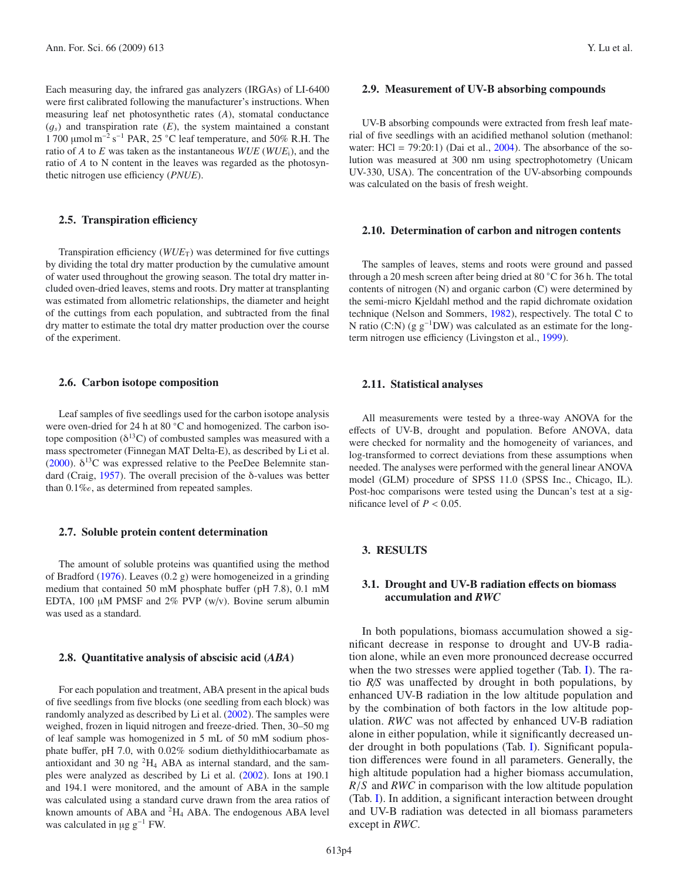Each measuring day, the infrared gas analyzers (IRGAs) of LI-6400 were first calibrated following the manufacturer's instructions. When measuring leaf net photosynthetic rates (*A*), stomatal conductance  $(g_s)$  and transpiration rate (*E*), the system maintained a constant 1 700 µmol m<sup>-2</sup> s<sup>-1</sup> PAR, 25 °C leaf temperature, and 50% R.H. The ratio of *A* to *E* was taken as the instantaneous *WUE* (*WUE*i), and the ratio of *A* to N content in the leaves was regarded as the photosynthetic nitrogen use efficiency (*PNUE*).

### **2.5. Transpiration e**ffi**ciency**

Transpiration efficiency ( $WUE_T$ ) was determined for five cuttings by dividing the total dry matter production by the cumulative amount of water used throughout the growing season. The total dry matter included oven-dried leaves, stems and roots. Dry matter at transplanting was estimated from allometric relationships, the diameter and height of the cuttings from each population, and subtracted from the final dry matter to estimate the total dry matter production over the course of the experiment.

#### **2.6. Carbon isotope composition**

Leaf samples of five seedlings used for the carbon isotope analysis were oven-dried for 24 h at 80 °C and homogenized. The carbon isotope composition ( $\delta^{13}$ C) of combusted samples was measured with a mass spectrometer (Finnegan MAT Delta-E), as described by Li et al. [\(2000\)](#page-11-9).  $\delta^{13}$ C was expressed relative to the PeeDee Belemnite standard (Craig, [1957](#page-10-6)). The overall precision of the δ-values was better than  $0.1\%$ , as determined from repeated samples.

#### **2.7. Soluble protein content determination**

The amount of soluble proteins was quantified using the method of Bradford [\(1976](#page-10-7)). Leaves (0.2 g) were homogeneized in a grinding medium that contained 50 mM phosphate buffer (pH 7.8), 0.1 mM EDTA, 100 μM PMSF and 2% PVP (w/v). Bovine serum albumin was used as a standard.

# **2.8. Quantitative analysis of abscisic acid (***ABA***)**

For each population and treatment, ABA present in the apical buds of five seedlings from five blocks (one seedling from each block) was randomly analyzed as described by Li et al. [\(2002](#page-11-15)). The samples were weighed, frozen in liquid nitrogen and freeze-dried. Then, 30–50 mg of leaf sample was homogenized in 5 mL of 50 mM sodium phosphate buffer, pH 7.0, with 0.02% sodium diethyldithiocarbamate as antioxidant and 30 ng  ${}^{2}H_{4}$  ABA as internal standard, and the samples were analyzed as described by Li et al. [\(2002\)](#page-11-15). Ions at 190.1 and 194.1 were monitored, and the amount of ABA in the sample was calculated using a standard curve drawn from the area ratios of known amounts of ABA and  ${}^{2}H_4$  ABA. The endogenous ABA level was calculated in  $\mu$ g g<sup>-1</sup> FW.

# **2.9. Measurement of UV-B absorbing compounds**

UV-B absorbing compounds were extracted from fresh leaf material of five seedlings with an acidified methanol solution (methanol: water: HCl =  $79:20:1$ ) (Dai et al., [2004](#page-10-8)). The absorbance of the solution was measured at 300 nm using spectrophotometry (Unicam UV-330, USA). The concentration of the UV-absorbing compounds was calculated on the basis of fresh weight.

#### **2.10. Determination of carbon and nitrogen contents**

The samples of leaves, stems and roots were ground and passed through a 20 mesh screen after being dried at 80 ◦C for 36 h. The total contents of nitrogen (N) and organic carbon (C) were determined by the semi-micro Kjeldahl method and the rapid dichromate oxidation technique (Nelson and Sommers, [1982](#page-11-16)), respectively. The total C to N ratio (C:N) (g  $g^{-1}DW$ ) was calculated as an estimate for the longterm nitrogen use efficiency (Livingston et al., [1999\)](#page-11-17).

## **2.11. Statistical analyses**

All measurements were tested by a three-way ANOVA for the effects of UV-B, drought and population. Before ANOVA, data were checked for normality and the homogeneity of variances, and log-transformed to correct deviations from these assumptions when needed. The analyses were performed with the general linear ANOVA model (GLM) procedure of SPSS 11.0 (SPSS Inc., Chicago, IL). Post-hoc comparisons were tested using the Duncan's test at a significance level of  $P < 0.05$ .

# **3. RESULTS**

# **3.1. Drought and UV-B radiation e**ff**ects on biomass accumulation and** *RWC*

In both populations, biomass accumulation showed a significant decrease in response to drought and UV-B radiation alone, while an even more pronounced decrease occurred when the two stresses were applied together (Tab. [I\)](#page-4-0). The ratio *R*/*S* was unaffected by drought in both populations, by enhanced UV-B radiation in the low altitude population and by the combination of both factors in the low altitude population. *RWC* was not affected by enhanced UV-B radiation alone in either population, while it significantly decreased under drought in both populations (Tab. [I\)](#page-4-0). Significant population differences were found in all parameters. Generally, the high altitude population had a higher biomass accumulation, *<sup>R</sup>*/*<sup>S</sup>* and *RWC* in comparison with the low altitude population (Tab. [I\)](#page-4-0). In addition, a significant interaction between drought and UV-B radiation was detected in all biomass parameters except in *RWC*.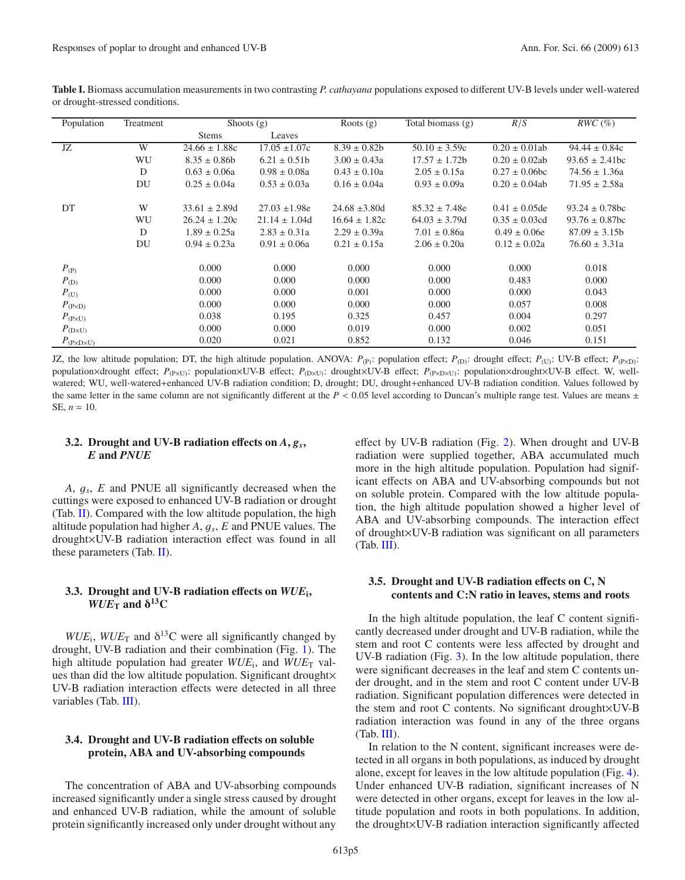| Population                                       | Treatment | Shoots $(g)$      |                    | Roots $(g)$       | Total biomass $(g)$ | R/S                | $RWC(\%)$           |
|--------------------------------------------------|-----------|-------------------|--------------------|-------------------|---------------------|--------------------|---------------------|
|                                                  |           | <b>Stems</b>      | Leaves             |                   |                     |                    |                     |
| JZ                                               | W         | $24.66 \pm 1.88c$ | $17.05 \pm 1.07c$  | $8.39 \pm 0.82b$  | $50.10 \pm 3.59c$   | $0.20 \pm 0.01$ ab | $94.44 \pm 0.84c$   |
|                                                  | WU        | $8.35 \pm 0.86$   | $6.21 \pm 0.51$    | $3.00 \pm 0.43a$  | $17.57 \pm 1.72$    | $0.20 \pm 0.02$ ab | $93.65 \pm 2.41$ bc |
|                                                  | D         | $0.63 \pm 0.06a$  | $0.98 \pm 0.08a$   | $0.43 \pm 0.10a$  | $2.05 \pm 0.15a$    | $0.27 \pm 0.06$ bc | $74.56 \pm 1.36a$   |
|                                                  | DU        | $0.25 \pm 0.04a$  | $0.53 \pm 0.03a$   | $0.16 \pm 0.04a$  | $0.93 \pm 0.09a$    | $0.20 \pm 0.04$ ab | $71.95 \pm 2.58a$   |
|                                                  |           |                   |                    |                   |                     |                    |                     |
| DT                                               | W         | $33.61 \pm 2.89d$ | $27.03 \pm 1.98$ e | $24.68 \pm 3.80d$ | $85.32 \pm 7.48$ e  | $0.41 \pm 0.05$ de | $93.24 \pm 0.78$ bc |
|                                                  | WU        | $26.24 \pm 1.20c$ | $21.14 \pm 1.04d$  | $16.64 \pm 1.82c$ | $64.03 \pm 3.79d$   | $0.35 \pm 0.03$ cd | $93.76 \pm 0.87$ bc |
|                                                  | D         | $1.89 \pm 0.25a$  | $2.83 \pm 0.31a$   | $2.29 \pm 0.39a$  | $7.01 \pm 0.86a$    | $0.49 \pm 0.06e$   | $87.09 \pm 3.15b$   |
|                                                  | DU        | $0.94 \pm 0.23a$  | $0.91 \pm 0.06a$   | $0.21 \pm 0.15a$  | $2.06 \pm 0.20a$    | $0.12 \pm 0.02a$   | $76.60 \pm 3.31a$   |
| $P_{(\text{P})}$                                 |           | 0.000             | 0.000              | 0.000             | 0.000               | 0.000              | 0.018               |
| $P_{\text{(D)}}$                                 |           | 0.000             | 0.000              | 0.000             | 0.000               | 0.483              | 0.000               |
| $P_{(U)}$                                        |           | 0.000             | 0.000              | 0.001             | 0.000               | 0.000              | 0.043               |
| $P_{(\text{P} \times \text{D})}$                 |           | 0.000             | 0.000              | 0.000             | 0.000               | 0.057              | 0.008               |
| $P_{(\text{PXU})}$                               |           | 0.038             | 0.195              | 0.325             | 0.457               | 0.004              | 0.297               |
| $P_{(\text{D} \times \text{U})}$                 |           | 0.000             | 0.000              | 0.019             | 0.000               | 0.002              | 0.051               |
| $P_{(\text{P} \times \text{D} \times \text{U})}$ |           | 0.020             | 0.021              | 0.852             | 0.132               | 0.046              | 0.151               |

<span id="page-4-0"></span>**Table I.** Biomass accumulation measurements in two contrasting *P. cathayana* populations exposed to different UV-B levels under well-watered or drought-stressed conditions.

JZ, the low altitude population; DT, the high altitude population. ANOVA:  $P_{(P)}$ : population effect;  $P_{(D)}$ : drought effect;  $P_{(U)}$ : UV-B effect;  $P_{(P \times D)}$ : population×drought effect; *P*<sub>(P×U)</sub>: population×UV-B effect; *P*<sub>(D×U)</sub>: drought×UV-B effect; *P*<sub>(P×D×U)</sub>: population×drought×UV-B effect. W, wellwatered; WU, well-watered+enhanced UV-B radiation condition; D, drought; DU, drought+enhanced UV-B radiation condition. Values followed by the same letter in the same column are not significantly different at the  $P < 0.05$  level according to Duncan's multiple range test. Values are means  $\pm$ SE,  $n = 10$ .

# **3.2. Drought and UV-B radiation effects on**  $A$ **,**  $g_s$ **,** *E* **and** *PNUE*

*<sup>A</sup>*, g*<sup>s</sup>*, *<sup>E</sup>* and PNUE all significantly decreased when the cuttings were exposed to enhanced UV-B radiation or drought (Tab.  $II$ ). Compared with the low altitude population, the high altitude population had higher *<sup>A</sup>*, <sup>g</sup>*<sup>s</sup>*, *<sup>E</sup>* and PNUE values. The drought×UV-B radiation interaction effect was found in all these parameters (Tab.  $II$ ).

# **3.3. Drought and UV-B radiation e**ff**ects on** *WUE***i,**  $WUE_{\text{T}}$  and  $\delta^{13}C$

 $WUE$ <sub>i</sub>,  $WUE$ <sub>T</sub> and  $\delta$ <sup>13</sup>C were all significantly changed by drought, UV-B radiation and their combination (Fig. [1\)](#page-6-0). The high altitude population had greater  $WUE_i$ , and  $WUE_T$  values than did the low altitude population. Significant drought× UV-B radiation interaction effects were detected in all three variables (Tab. [III\)](#page-5-1).

# **3.4. Drought and UV-B radiation e**ff**ects on soluble protein, ABA and UV-absorbing compounds**

The concentration of ABA and UV-absorbing compounds increased significantly under a single stress caused by drought and enhanced UV-B radiation, while the amount of soluble protein significantly increased only under drought without any effect by UV-B radiation (Fig. [2\)](#page-6-1). When drought and UV-B radiation were supplied together, ABA accumulated much more in the high altitude population. Population had significant effects on ABA and UV-absorbing compounds but not on soluble protein. Compared with the low altitude population, the high altitude population showed a higher level of ABA and UV-absorbing compounds. The interaction effect of drought×UV-B radiation was significant on all parameters (Tab. [III\)](#page-5-1).

# **3.5. Drought and UV-B radiation effects on C, N contents and C:N ratio in leaves, stems and roots**

In the high altitude population, the leaf C content significantly decreased under drought and UV-B radiation, while the stem and root C contents were less affected by drought and UV-B radiation (Fig. [3\)](#page-7-0). In the low altitude population, there were significant decreases in the leaf and stem C contents under drought, and in the stem and root C content under UV-B radiation. Significant population differences were detected in the stem and root C contents. No significant drought×UV-B radiation interaction was found in any of the three organs (Tab. [III\)](#page-5-1).

In relation to the N content, significant increases were detected in all organs in both populations, as induced by drought alone, except for leaves in the low altitude population (Fig. [4\)](#page-7-1). Under enhanced UV-B radiation, significant increases of N were detected in other organs, except for leaves in the low altitude population and roots in both populations. In addition, the drought×UV-B radiation interaction significantly affected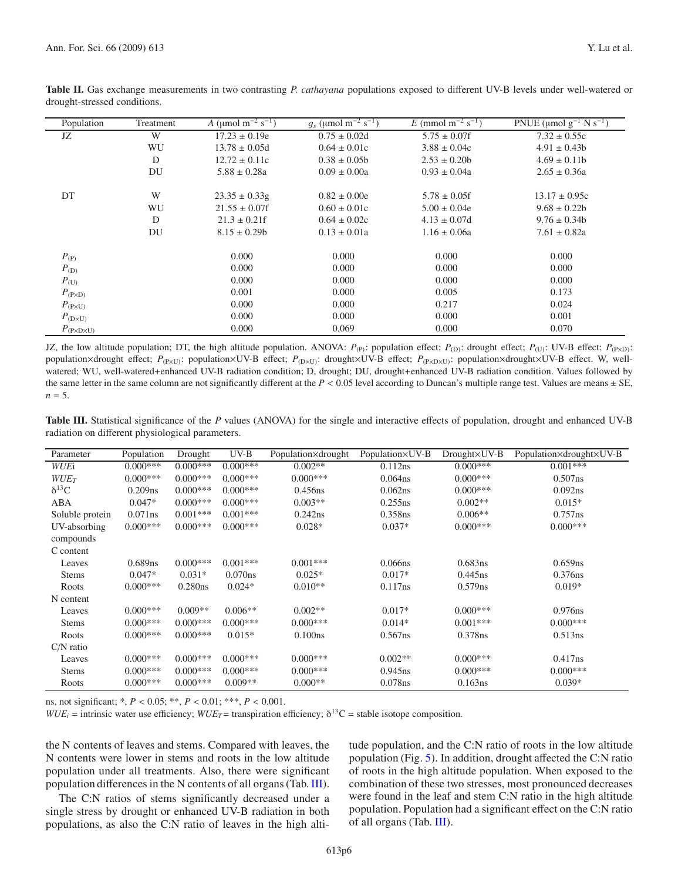| Population                                   | Treatment | A (µmol m <sup>-2</sup> s <sup>-1</sup> ) | $g_s$ (µmol m <sup>-2</sup> s <sup>-1</sup> ) | E (mmol m <sup><math>-2</math></sup> s <sup><math>-1</math></sup> ) | PNUE (µmol $g^{-1}$ N $s^{-1}$ ) |
|----------------------------------------------|-----------|-------------------------------------------|-----------------------------------------------|---------------------------------------------------------------------|----------------------------------|
| JZ                                           | W         | $17.23 \pm 0.19e$                         | $0.75 \pm 0.02d$                              | $5.75 \pm 0.07$ f                                                   | $7.32 \pm 0.55c$                 |
|                                              | WU        | $13.78 \pm 0.05d$                         | $0.64 \pm 0.01c$                              | $3.88 \pm 0.04c$                                                    | $4.91 \pm 0.43b$                 |
|                                              | D         | $12.72 \pm 0.11c$                         | $0.38 \pm 0.05b$                              | $2.53 \pm 0.20b$                                                    | $4.69 \pm 0.11b$                 |
|                                              | DU        | $5.88 \pm 0.28a$                          | $0.09 \pm 0.00a$                              | $0.93 \pm 0.04a$                                                    | $2.65 \pm 0.36a$                 |
| DT                                           | W         | $23.35 \pm 0.33$ g                        | $0.82 \pm 0.00e$                              | $5.78 \pm 0.05$ f                                                   | $13.17 \pm 0.95c$                |
|                                              | WU        | $21.55 \pm 0.07$ f                        | $0.60 \pm 0.01c$                              | $5.00 \pm 0.04e$                                                    | $9.68 \pm 0.22b$                 |
|                                              | D         | $21.3 \pm 0.21$ f                         | $0.64 \pm 0.02c$                              | $4.13 \pm 0.07d$                                                    | $9.76 \pm 0.34$                  |
|                                              | DU        | $8.15 \pm 0.29b$                          | $0.13 \pm 0.01a$                              | $1.16 \pm 0.06a$                                                    | $7.61 \pm 0.82a$                 |
| $P_{(\text{P})}$                             |           | 0.000                                     | 0.000                                         | 0.000                                                               | 0.000                            |
| $P_{(D)}$                                    |           | 0.000                                     | 0.000                                         | 0.000                                                               | 0.000                            |
| $P_{(U)}$                                    |           | 0.000                                     | 0.000                                         | 0.000                                                               | 0.000                            |
| $P_{\text{(PxD)}}$                           |           | 0.001                                     | 0.000                                         | 0.005                                                               | 0.173                            |
| $P_{(\text{PXU})}$                           |           | 0.000                                     | 0.000                                         | 0.217                                                               | 0.024                            |
| $P_{(\text{D} \times \text{U})}$             |           | 0.000                                     | 0.000                                         | 0.000                                                               | 0.001                            |
| $P_{\text{(P}\times\text{D}\times\text{U})}$ |           | 0.000                                     | 0.069                                         | 0.000                                                               | 0.070                            |

<span id="page-5-0"></span>**Table II.** Gas exchange measurements in two contrasting *P. cathayana* populations exposed to different UV-B levels under well-watered or drought-stressed conditions.

<span id="page-5-1"></span>JZ, the low altitude population; DT, the high altitude population. ANOVA:  $P_{(P)}$ : population effect;  $P_{(D)}$ : drought effect;  $P_{(U)}$ : UV-B effect;  $P_{(P \times D)}$ : population×drought effect; *P*<sub>(P×U)</sub>: population×UV-B effect; *P*<sub>(D×U)</sub>: drought×UV-B effect; *P*<sub>(P×D×U)</sub>: population×drought×UV-B effect. W, wellwatered; WU, well-watered+enhanced UV-B radiation condition; D, drought; DU, drought+enhanced UV-B radiation condition. Values followed by the same letter in the same column are not significantly different at the  $P < 0.05$  level according to Duncan's multiple range test. Values are means  $\pm$  SE,  $n = 5$ .

**Table III.** Statistical significance of the *P* values (ANOVA) for the single and interactive effects of population, drought and enhanced UV-B radiation on different physiological parameters.

| Parameter       | Population | Drought    | $UV-B$     | Population×drought | Population×UV-B | Drought×UV-B | Population×drought×UV-B |
|-----------------|------------|------------|------------|--------------------|-----------------|--------------|-------------------------|
| WUEi            | $0.000***$ | $0.000***$ | $0.000***$ | $0.002**$          | 0.112ns         | $0.000***$   | $0.001***$              |
| $WUE_T$         | $0.000***$ | $0.000***$ | $0.000***$ | $0.000***$         | $0.064$ ns      | $0.000***$   | $0.507$ ns              |
| $\delta^{13}C$  | $0.209$ ns | $0.000***$ | $0.000***$ | $0.456$ ns         | 0.062ns         | $0.000***$   | 0.092ns                 |
| ABA             | $0.047*$   | $0.000***$ | $0.000***$ | $0.003**$          | 0.255ns         | $0.002**$    | $0.015*$                |
| Soluble protein | $0.071$ ns | $0.001***$ | $0.001***$ | 0.242ns            | 0.358ns         | $0.006**$    | $0.757$ ns              |
| UV-absorbing    | $0.000***$ | $0.000***$ | $0.000***$ | $0.028*$           | $0.037*$        | $0.000***$   | $0.000***$              |
| compounds       |            |            |            |                    |                 |              |                         |
| C content       |            |            |            |                    |                 |              |                         |
| Leaves          | $0.689$ ns | $0.000***$ | $0.001***$ | $0.001***$         | $0.066$ ns      | 0.683ns      | 0.659ns                 |
| <b>Stems</b>    | $0.047*$   | $0.031*$   | 0.070ns    | $0.025*$           | $0.017*$        | $0.445$ ns   | 0.376ns                 |
| Roots           | $0.000***$ | 0.280ns    | $0.024*$   | $0.010**$          | 0.117ns         | $0.579$ ns   | $0.019*$                |
| N content       |            |            |            |                    |                 |              |                         |
| Leaves          | $0.000***$ | $0.009**$  | $0.006**$  | $0.002**$          | $0.017*$        | $0.000***$   | $0.976$ ns              |
| <b>Stems</b>    | $0.000***$ | $0.000***$ | $0.000***$ | $0.000***$         | $0.014*$        | $0.001***$   | $0.000***$              |
| Roots           | $0.000***$ | $0.000***$ | $0.015*$   | 0.100ns            | $0.567$ ns      | 0.378ns      | 0.513ns                 |
| $C/N$ ratio     |            |            |            |                    |                 |              |                         |
| Leaves          | $0.000***$ | $0.000***$ | $0.000***$ | $0.000***$         | $0.002**$       | $0.000***$   | 0.417ns                 |
| <b>Stems</b>    | $0.000***$ | $0.000***$ | $0.000***$ | $0.000***$         | $0.945$ ns      | $0.000***$   | $0.000***$              |
| Roots           | $0.000***$ | $0.000***$ | $0.009**$  | $0.000**$          | $0.078$ ns      | $0.163$ ns   | $0.039*$                |

ns, not significant; \*, *<sup>P</sup>* < <sup>0</sup>.05; \*\*, *<sup>P</sup>* < <sup>0</sup>.01; \*\*\*, *<sup>P</sup>* < <sup>0</sup>.001.

 $WUE_i$  = intrinsic water use efficiency;  $WUE_T$  = transpiration efficiency;  $\delta^{13}C$  = stable isotope composition.

the N contents of leaves and stems. Compared with leaves, the N contents were lower in stems and roots in the low altitude population under all treatments. Also, there were significant population differences in the N contents of all organs (Tab. [III\)](#page-5-1).

The C:N ratios of stems significantly decreased under a single stress by drought or enhanced UV-B radiation in both populations, as also the C:N ratio of leaves in the high alti-

tude population, and the C:N ratio of roots in the low altitude population (Fig. [5\)](#page-8-0). In addition, drought affected the C:N ratio of roots in the high altitude population. When exposed to the combination of these two stresses, most pronounced decreases were found in the leaf and stem C:N ratio in the high altitude population. Population had a significant effect on the C:N ratio of all organs (Tab. [III\)](#page-5-1).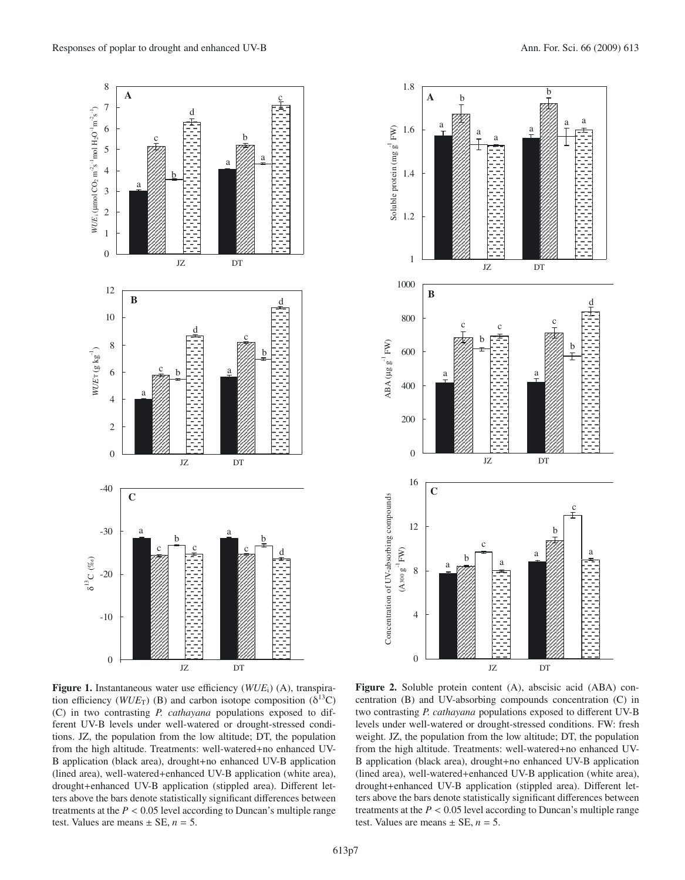

<span id="page-6-0"></span>**Figure 1.** Instantaneous water use efficiency (*WUE*i) (A), transpiration efficiency ( $WUE_T$ ) (B) and carbon isotope composition ( $\delta^{13}$ C) (C) in two contrasting *P. cathayana* populations exposed to different UV-B levels under well-watered or drought-stressed conditions. JZ, the population from the low altitude; DT, the population from the high altitude. Treatments: well-watered+no enhanced UV-B application (black area), drought+no enhanced UV-B application (lined area), well-watered+enhanced UV-B application (white area), drought+enhanced UV-B application (stippled area). Different letters above the bars denote statistically significant differences between treatments at the  $P < 0.05$  level according to Duncan's multiple range test. Values are means  $\pm$  SE,  $n = 5$ .



<span id="page-6-1"></span>**Figure 2.** Soluble protein content (A), abscisic acid (ABA) concentration (B) and UV-absorbing compounds concentration (C) in two contrasting *P. cathayana* populations exposed to different UV-B levels under well-watered or drought-stressed conditions. FW: fresh weight. JZ, the population from the low altitude; DT, the population from the high altitude. Treatments: well-watered+no enhanced UV-B application (black area), drought+no enhanced UV-B application (lined area), well-watered+enhanced UV-B application (white area), drought+enhanced UV-B application (stippled area). Different letters above the bars denote statistically significant differences between treatments at the  $P < 0.05$  level according to Duncan's multiple range test. Values are means  $\pm$  SE,  $n = 5$ .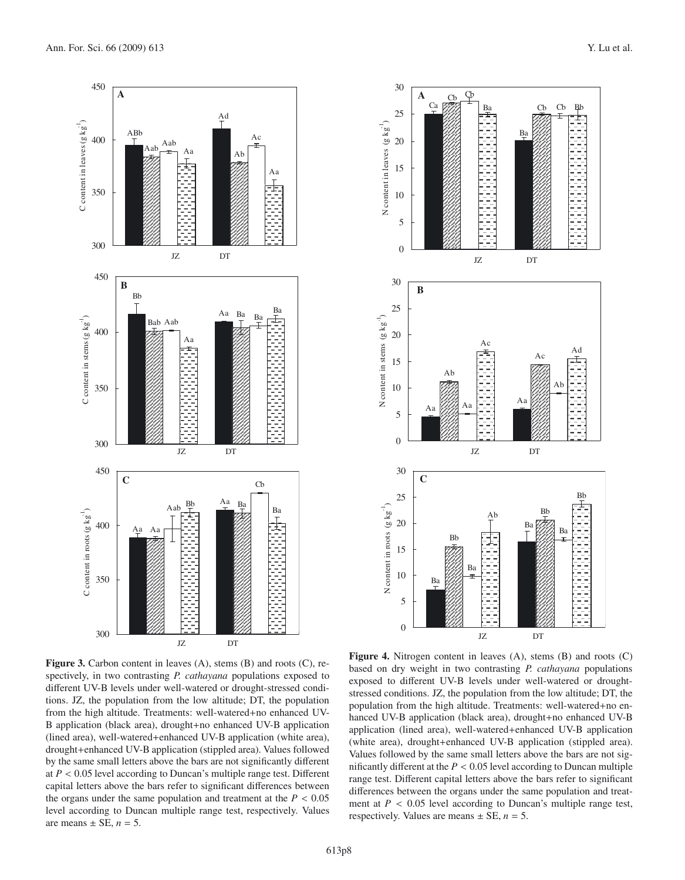

<span id="page-7-0"></span>**Figure 3.** Carbon content in leaves (A), stems (B) and roots (C), respectively, in two contrasting *P. cathayana* populations exposed to different UV-B levels under well-watered or drought-stressed conditions. JZ, the population from the low altitude; DT, the population from the high altitude. Treatments: well-watered+no enhanced UV-B application (black area), drought+no enhanced UV-B application (lined area), well-watered+enhanced UV-B application (white area), drought+enhanced UV-B application (stippled area). Values followed by the same small letters above the bars are not significantly different at  $P < 0.05$  level according to Duncan's multiple range test. Different capital letters above the bars refer to significant differences between the organs under the same population and treatment at the  $P < 0.05$ level according to Duncan multiple range test, respectively. Values are means  $\pm$  SE,  $n = 5$ .



<span id="page-7-1"></span>**Figure 4.** Nitrogen content in leaves (A), stems (B) and roots (C) based on dry weight in two contrasting *P. cathayana* populations exposed to different UV-B levels under well-watered or droughtstressed conditions. JZ, the population from the low altitude; DT, the population from the high altitude. Treatments: well-watered+no enhanced UV-B application (black area), drought+no enhanced UV-B application (lined area), well-watered+enhanced UV-B application (white area), drought+enhanced UV-B application (stippled area). Values followed by the same small letters above the bars are not significantly different at the *<sup>P</sup>* < <sup>0</sup>.05 level according to Duncan multiple range test. Different capital letters above the bars refer to significant differences between the organs under the same population and treatment at  $P < 0.05$  level according to Duncan's multiple range test, respectively. Values are means  $\pm$  SE,  $n = 5$ .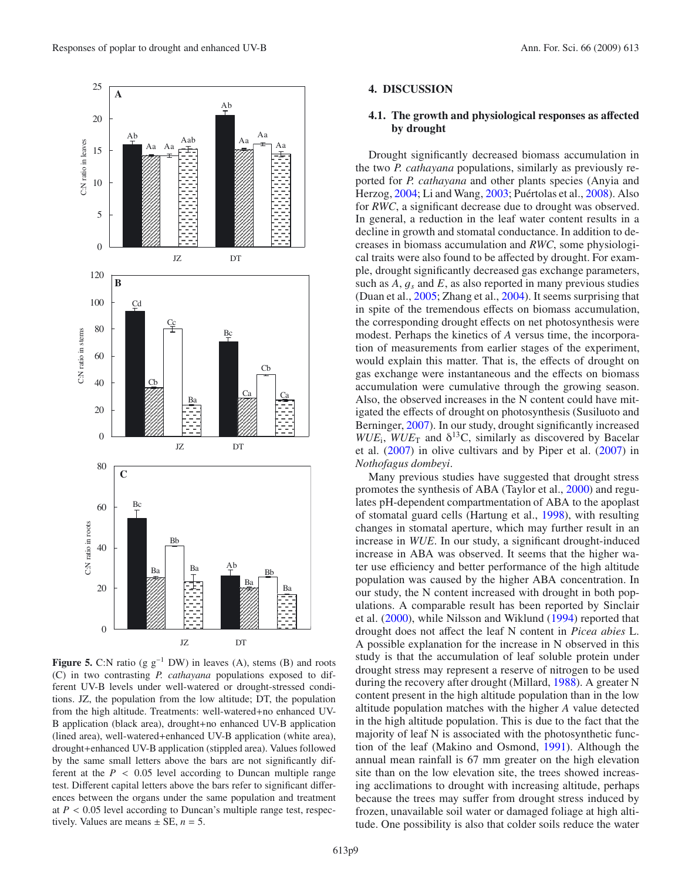

<span id="page-8-0"></span>**Figure 5.** C:N ratio (g  $g^{-1}$  DW) in leaves (A), stems (B) and roots (C) in two contrasting *P. cathayana* populations exposed to different UV-B levels under well-watered or drought-stressed conditions. JZ, the population from the low altitude; DT, the population from the high altitude. Treatments: well-watered+no enhanced UV-B application (black area), drought+no enhanced UV-B application (lined area), well-watered+enhanced UV-B application (white area), drought+enhanced UV-B application (stippled area). Values followed by the same small letters above the bars are not significantly different at the  $P < 0.05$  level according to Duncan multiple range test. Different capital letters above the bars refer to significant differences between the organs under the same population and treatment at  $P < 0.05$  level according to Duncan's multiple range test, respectively. Values are means  $\pm$  SE,  $n = 5$ .

# **4. DISCUSSION**

## **4.1. The growth and physiological responses as a**ff**ected by drought**

Drought significantly decreased biomass accumulation in the two *P. cathayana* populations, similarly as previously reported for *P. cathayana* and other plants species (Anyia and Herzog, [2004;](#page-10-9) Li and Wang, [2003](#page-11-18); Puértolas et al., [2008](#page-11-2)). Also for *RWC*, a significant decrease due to drought was observed. In general, a reduction in the leaf water content results in a decline in growth and stomatal conductance. In addition to decreases in biomass accumulation and *RWC*, some physiological traits were also found to be affected by drought. For example, drought significantly decreased gas exchange parameters, such as  $A$ ,  $q_s$  and  $E$ , as also reported in many previous studies (Duan et al., [2005;](#page-10-10) Zhang et al., [2004\)](#page-11-19). It seems surprising that in spite of the tremendous effects on biomass accumulation, the corresponding drought effects on net photosynthesis were modest. Perhaps the kinetics of *A* versus time, the incorporation of measurements from earlier stages of the experiment, would explain this matter. That is, the effects of drought on gas exchange were instantaneous and the effects on biomass accumulation were cumulative through the growing season. Also, the observed increases in the N content could have mitigated the effects of drought on photosynthesis (Susiluoto and Berninger, [2007](#page-11-20)). In our study, drought significantly increased  $WUE_i$ ,  $WUE_T$  and  $\delta^{13}C$ , similarly as discovered by Bacelar et al. [\(2007\)](#page-10-11) in olive cultivars and by Piper et al. [\(2007\)](#page-11-13) in *Nothofagus dombeyi*.

Many previous studies have suggested that drought stress promotes the synthesis of ABA (Taylor et al., [2000](#page-11-21)) and regulates pH-dependent compartmentation of ABA to the apoplast of stomatal guard cells (Hartung et al., [1998\)](#page-10-12), with resulting changes in stomatal aperture, which may further result in an increase in *WUE*. In our study, a significant drought-induced increase in ABA was observed. It seems that the higher water use efficiency and better performance of the high altitude population was caused by the higher ABA concentration. In our study, the N content increased with drought in both populations. A comparable result has been reported by Sinclair et al. [\(2000\)](#page-11-22), while Nilsson and Wiklund [\(1994\)](#page-11-23) reported that drought does not affect the leaf N content in *Picea abies* L. A possible explanation for the increase in N observed in this study is that the accumulation of leaf soluble protein under drought stress may represent a reserve of nitrogen to be used during the recovery after drought (Millard, [1988\)](#page-11-24). A greater N content present in the high altitude population than in the low altitude population matches with the higher *A* value detected in the high altitude population. This is due to the fact that the majority of leaf N is associated with the photosynthetic function of the leaf (Makino and Osmond, [1991](#page-11-25)). Although the annual mean rainfall is 67 mm greater on the high elevation site than on the low elevation site, the trees showed increasing acclimations to drought with increasing altitude, perhaps because the trees may suffer from drought stress induced by frozen, unavailable soil water or damaged foliage at high altitude. One possibility is also that colder soils reduce the water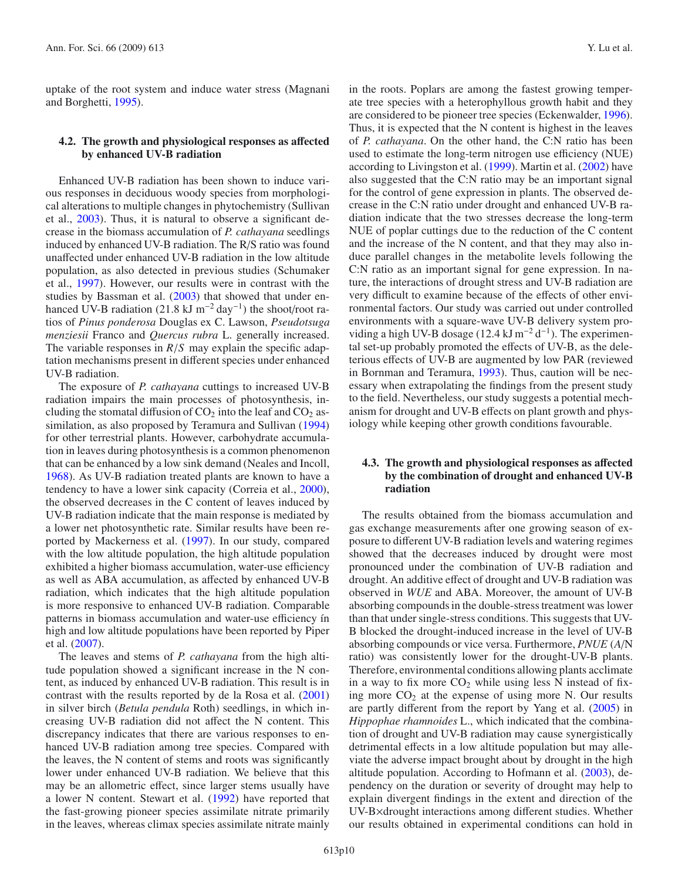uptake of the root system and induce water stress (Magnani and Borghetti, [1995\)](#page-11-26).

# **4.2. The growth and physiological responses as a**ff**ected by enhanced UV-B radiation**

Enhanced UV-B radiation has been shown to induce various responses in deciduous woody species from morphological alterations to multiple changes in phytochemistry (Sullivan et al., [2003\)](#page-11-27). Thus, it is natural to observe a significant decrease in the biomass accumulation of *P. cathayana* seedlings induced by enhanced UV-B radiation. The R/S ratio was found unaffected under enhanced UV-B radiation in the low altitude population, as also detected in previous studies (Schumaker et al., [1997](#page-11-12)). However, our results were in contrast with the studies by Bassman et al. [\(2003\)](#page-10-4) that showed that under enhanced UV-B radiation (21.8 kJ m<sup>-2</sup> day<sup>-1</sup>) the shoot/root ratios of *Pinus ponderosa* Douglas ex C. Lawson, *Pseudotsuga menziesii* Franco and *Quercus rubra* L. generally increased. The variable responses in *<sup>R</sup>*/*<sup>S</sup>* may explain the specific adaptation mechanisms present in different species under enhanced UV-B radiation.

The exposure of *P. cathayana* cuttings to increased UV-B radiation impairs the main processes of photosynthesis, including the stomatal diffusion of  $CO<sub>2</sub>$  into the leaf and  $CO<sub>2</sub>$  assimilation, as also proposed by Teramura and Sullivan [\(1994](#page-11-28)) for other terrestrial plants. However, carbohydrate accumulation in leaves during photosynthesis is a common phenomenon that can be enhanced by a low sink demand (Neales and Incoll, [1968\)](#page-11-29). As UV-B radiation treated plants are known to have a tendency to have a lower sink capacity (Correia et al., [2000\)](#page-10-13), the observed decreases in the C content of leaves induced by UV-B radiation indicate that the main response is mediated by a lower net photosynthetic rate. Similar results have been reported by Mackerness et al. [\(1997\)](#page-11-30). In our study, compared with the low altitude population, the high altitude population exhibited a higher biomass accumulation, water-use efficiency as well as ABA accumulation, as affected by enhanced UV-B radiation, which indicates that the high altitude population is more responsive to enhanced UV-B radiation. Comparable patterns in biomass accumulation and water-use efficiency ín high and low altitude populations have been reported by Piper et al. [\(2007\)](#page-11-13).

The leaves and stems of *P. cathayana* from the high altitude population showed a significant increase in the N content, as induced by enhanced UV-B radiation. This result is in contrast with the results reported by de la Rosa et al. [\(2001](#page-10-14)) in silver birch (*Betula pendula* Roth) seedlings, in which increasing UV-B radiation did not affect the N content. This discrepancy indicates that there are various responses to enhanced UV-B radiation among tree species. Compared with the leaves, the N content of stems and roots was significantly lower under enhanced UV-B radiation. We believe that this may be an allometric effect, since larger stems usually have a lower N content. Stewart et al. [\(1992\)](#page-11-31) have reported that the fast-growing pioneer species assimilate nitrate primarily in the leaves, whereas climax species assimilate nitrate mainly

in the roots. Poplars are among the fastest growing temperate tree species with a heterophyllous growth habit and they are considered to be pioneer tree species (Eckenwalder, [1996](#page-10-15)). Thus, it is expected that the N content is highest in the leaves of *P. cathayana*. On the other hand, the C:N ratio has been used to estimate the long-term nitrogen use efficiency (NUE) according to Livingston et al. [\(1999\)](#page-11-17). Martin et al. [\(2002](#page-11-32)) have also suggested that the C:N ratio may be an important signal for the control of gene expression in plants. The observed decrease in the C:N ratio under drought and enhanced UV-B radiation indicate that the two stresses decrease the long-term NUE of poplar cuttings due to the reduction of the C content and the increase of the N content, and that they may also induce parallel changes in the metabolite levels following the C:N ratio as an important signal for gene expression. In nature, the interactions of drought stress and UV-B radiation are very difficult to examine because of the effects of other environmental factors. Our study was carried out under controlled environments with a square-wave UV-B delivery system providing a high UV-B dosage (12.4 kJ m<sup>-2</sup> d<sup>-1</sup>). The experimental set-up probably promoted the effects of UV-B, as the deleterious effects of UV-B are augmented by low PAR (reviewed in Bornman and Teramura, [1993](#page-10-16)). Thus, caution will be necessary when extrapolating the findings from the present study to the field. Nevertheless, our study suggests a potential mechanism for drought and UV-B effects on plant growth and physiology while keeping other growth conditions favourable.

# **4.3. The growth and physiological responses as a**ff**ected by the combination of drought and enhanced UV-B radiation**

The results obtained from the biomass accumulation and gas exchange measurements after one growing season of exposure to different UV-B radiation levels and watering regimes showed that the decreases induced by drought were most pronounced under the combination of UV-B radiation and drought. An additive effect of drought and UV-B radiation was observed in *WUE* and ABA. Moreover, the amount of UV-B absorbing compounds in the double-stress treatment was lower than that under single-stress conditions. This suggests that UV-B blocked the drought-induced increase in the level of UV-B absorbing compounds or vice versa. Furthermore, *PNUE* (*A*/N ratio) was consistently lower for the drought-UV-B plants. Therefore, environmental conditions allowing plants acclimate in a way to fix more  $CO<sub>2</sub>$  while using less N instead of fixing more  $CO<sub>2</sub>$  at the expense of using more N. Our results are partly different from the report by Yang et al. [\(2005\)](#page-11-7) in *Hippophae rhamnoides* L., which indicated that the combination of drought and UV-B radiation may cause synergistically detrimental effects in a low altitude population but may alleviate the adverse impact brought about by drought in the high altitude population. According to Hofmann et al. [\(2003\)](#page-10-17), dependency on the duration or severity of drought may help to explain divergent findings in the extent and direction of the UV-B×drought interactions among different studies. Whether our results obtained in experimental conditions can hold in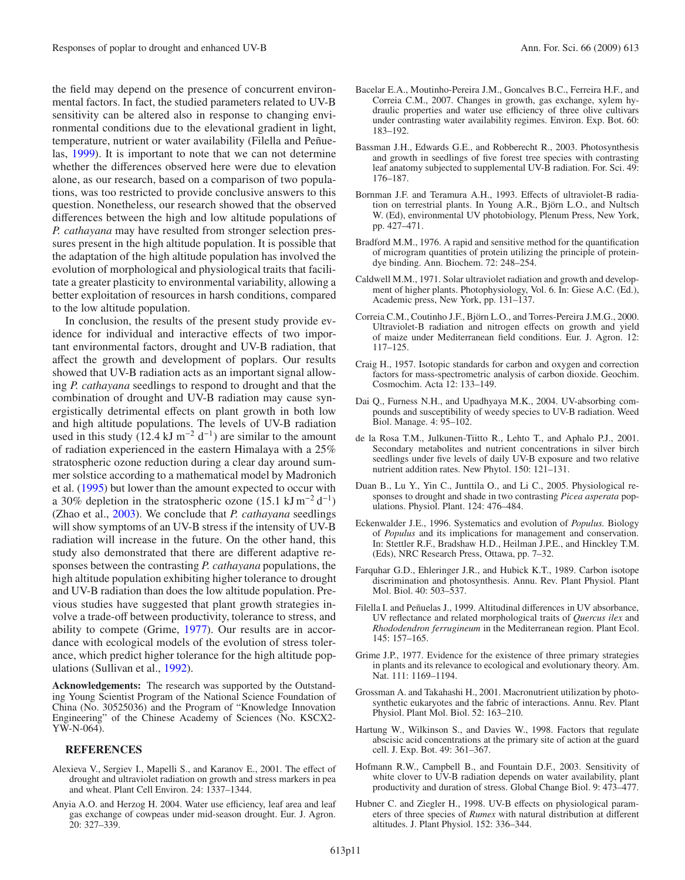the field may depend on the presence of concurrent environmental factors. In fact, the studied parameters related to UV-B sensitivity can be altered also in response to changing environmental conditions due to the elevational gradient in light, temperature, nutrient or water availability (Filella and Peñuelas, [1999\)](#page-10-18). It is important to note that we can not determine whether the differences observed here were due to elevation alone, as our research, based on a comparison of two populations, was too restricted to provide conclusive answers to this question. Nonetheless, our research showed that the observed differences between the high and low altitude populations of *P. cathayana* may have resulted from stronger selection pressures present in the high altitude population. It is possible that the adaptation of the high altitude population has involved the evolution of morphological and physiological traits that facilitate a greater plasticity to environmental variability, allowing a better exploitation of resources in harsh conditions, compared to the low altitude population.

In conclusion, the results of the present study provide evidence for individual and interactive effects of two important environmental factors, drought and UV-B radiation, that affect the growth and development of poplars. Our results showed that UV-B radiation acts as an important signal allowing *P. cathayana* seedlings to respond to drought and that the combination of drought and UV-B radiation may cause synergistically detrimental effects on plant growth in both low and high altitude populations. The levels of UV-B radiation used in this study  $(12.4 \text{ kJ m}^{-2} \text{ d}^{-1})$  are similar to the amount of radiation experienced in the eastern Himalaya with a 25% stratospheric ozone reduction during a clear day around summer solstice according to a mathematical model by Madronich et al. [\(1995\)](#page-11-14) but lower than the amount expected to occur with a 30% depletion in the stratospheric ozone (15.1 kJ m<sup>-2</sup> d<sup>-1</sup>) (Zhao et al., [2003\)](#page-11-33). We conclude that *P. cathayana* seedlings will show symptoms of an UV-B stress if the intensity of UV-B radiation will increase in the future. On the other hand, this study also demonstrated that there are different adaptive responses between the contrasting *P. cathayana* populations, the high altitude population exhibiting higher tolerance to drought and UV-B radiation than does the low altitude population. Previous studies have suggested that plant growth strategies involve a trade-off between productivity, tolerance to stress, and ability to compete (Grime, [1977\)](#page-10-19). Our results are in accordance with ecological models of the evolution of stress tolerance, which predict higher tolerance for the high altitude populations (Sullivan et al., [1992\)](#page-11-34).

**Acknowledgements:** The research was supported by the Outstanding Young Scientist Program of the National Science Foundation of China (No. 30525036) and the Program of "Knowledge Innovation Engineering" of the Chinese Academy of Sciences (No. KSCX2- YW-N-064).

## **REFERENCES**

- <span id="page-10-0"></span>Alexieva V., Sergiev I., Mapelli S., and Karanov E., 2001. The effect of drought and ultraviolet radiation on growth and stress markers in pea and wheat. Plant Cell Environ. 24: 1337–1344.
- <span id="page-10-9"></span>Anyia A.O. and Herzog H. 2004. Water use efficiency, leaf area and leaf gas exchange of cowpeas under mid-season drought. Eur. J. Agron. 20: 327–339.
- <span id="page-10-11"></span>Bacelar E.A., Moutinho-Pereira J.M., Goncalves B.C., Ferreira H.F., and Correia C.M., 2007. Changes in growth, gas exchange, xylem hydraulic properties and water use efficiency of three olive cultivars under contrasting water availability regimes. Environ. Exp. Bot. 60: 183–192.
- <span id="page-10-4"></span>Bassman J.H., Edwards G.E., and Robberecht R., 2003. Photosynthesis and growth in seedlings of five forest tree species with contrasting leaf anatomy subjected to supplemental UV-B radiation. For. Sci. 49: 176–187.
- <span id="page-10-16"></span>Bornman J.F. and Teramura A.H., 1993. Effects of ultraviolet-B radiation on terrestrial plants. In Young A.R., Björn L.O., and Nultsch W. (Ed), environmental UV photobiology, Plenum Press, New York, pp. 427–471.
- <span id="page-10-7"></span>Bradford M.M., 1976. A rapid and sensitive method for the quantification of microgram quantities of protein utilizing the principle of proteindye binding. Ann. Biochem. 72: 248–254.
- <span id="page-10-5"></span>Caldwell M.M., 1971. Solar ultraviolet radiation and growth and development of higher plants. Photophysiology, Vol. 6. In: Giese A.C. (Ed.), Academic press, New York, pp. 131–137.
- <span id="page-10-13"></span>Correia C.M., Coutinho J.F., Björn L.O., and Torres-Pereira J.M.G., 2000. Ultraviolet-B radiation and nitrogen effects on growth and yield of maize under Mediterranean field conditions. Eur. J. Agron. 12: 117–125.
- <span id="page-10-6"></span>Craig H., 1957. Isotopic standards for carbon and oxygen and correction factors for mass-spectrometric analysis of carbon dioxide. Geochim. Cosmochim. Acta 12: 133–149.
- <span id="page-10-8"></span>Dai Q., Furness N.H., and Upadhyaya M.K., 2004. UV-absorbing compounds and susceptibility of weedy species to UV-B radiation. Weed Biol. Manage. 4: 95–102.
- <span id="page-10-14"></span>de la Rosa T.M., Julkunen-Tiitto R., Lehto T., and Aphalo P.J., 2001. Secondary metabolites and nutrient concentrations in silver birch seedlings under five levels of daily UV-B exposure and two relative nutrient addition rates. New Phytol. 150: 121–131.
- <span id="page-10-10"></span>Duan B., Lu Y., Yin C., Junttila O., and Li C., 2005. Physiological responses to drought and shade in two contrasting *Picea asperata* populations. Physiol. Plant. 124: 476–484.
- <span id="page-10-15"></span>Eckenwalder J.E., 1996. Systematics and evolution of *Populus.* Biology of *Populus* and its implications for management and conservation. In: Stettler R.F., Bradshaw H.D., Heilman J.P.E., and Hinckley T.M. (Eds), NRC Research Press, Ottawa, pp. 7–32.
- <span id="page-10-2"></span>Farquhar G.D., Ehleringer J.R., and Hubick K.T., 1989. Carbon isotope discrimination and photosynthesis. Annu. Rev. Plant Physiol. Plant Mol. Biol. 40: 503–537.
- <span id="page-10-18"></span>Filella I. and Peñuelas J., 1999. Altitudinal differences in UV absorbance, UV reflectance and related morphological traits of *Quercus ilex* and *Rhododendron ferrugineum* in the Mediterranean region. Plant Ecol. 145: 157–165.
- <span id="page-10-19"></span>Grime J.P., 1977. Evidence for the existence of three primary strategies in plants and its relevance to ecological and evolutionary theory. Am. Nat. 111: 1169–1194.
- <span id="page-10-3"></span>Grossman A. and Takahashi H., 2001. Macronutrient utilization by photosynthetic eukaryotes and the fabric of interactions. Annu. Rev. Plant Physiol. Plant Mol. Biol. 52: 163–210.
- <span id="page-10-12"></span>Hartung W., Wilkinson S., and Davies W., 1998. Factors that regulate abscisic acid concentrations at the primary site of action at the guard cell. J. Exp. Bot. 49: 361–367.
- <span id="page-10-17"></span>Hofmann R.W., Campbell B., and Fountain D.F., 2003. Sensitivity of white clover to UV-B radiation depends on water availability, plant productivity and duration of stress. Global Change Biol. 9: 473–477.
- <span id="page-10-1"></span>Hubner C. and Ziegler H., 1998. UV-B effects on physiological parameters of three species of *Rumex* with natural distribution at different altitudes. J. Plant Physiol. 152: 336–344.